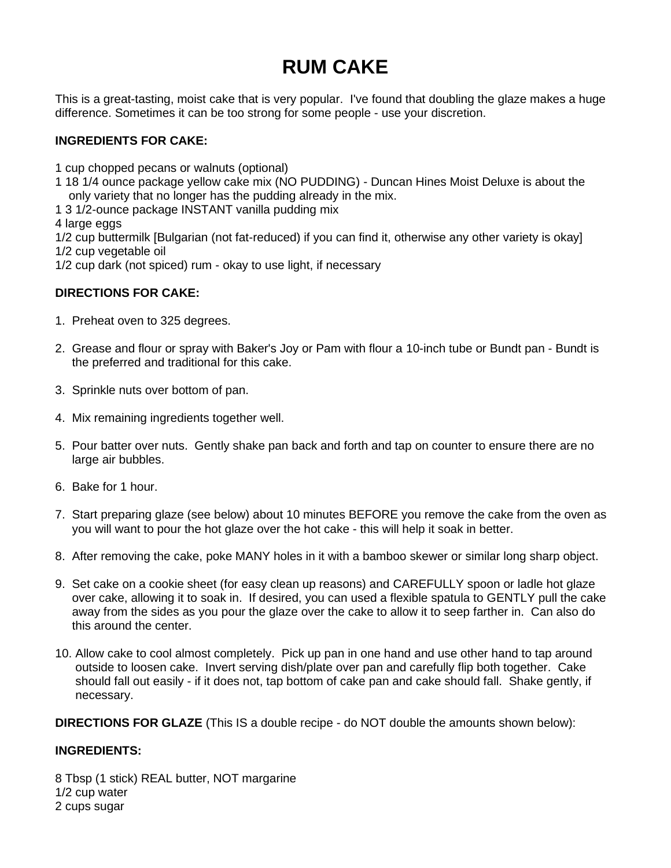# **RUM CAKE**

This is a great-tasting, moist cake that is very popular. I've found that doubling the glaze makes a huge difference. Sometimes it can be too strong for some people - use your discretion.

## **INGREDIENTS FOR CAKE:**

1 cup chopped pecans or walnuts (optional)

- 1 18 1/4 ounce package yellow cake mix (NO PUDDING) Duncan Hines Moist Deluxe is about the only variety that no longer has the pudding already in the mix.
- 1 3 1/2-ounce package INSTANT vanilla pudding mix

4 large eggs

1/2 cup buttermilk [Bulgarian (not fat-reduced) if you can find it, otherwise any other variety is okay] 1/2 cup vegetable oil

1/2 cup dark (not spiced) rum - okay to use light, if necessary

#### **DIRECTIONS FOR CAKE:**

- 1. Preheat oven to 325 degrees.
- 2. Grease and flour or spray with Baker's Joy or Pam with flour a 10-inch tube or Bundt pan Bundt is the preferred and traditional for this cake.
- 3. Sprinkle nuts over bottom of pan.
- 4. Mix remaining ingredients together well.
- 5. Pour batter over nuts. Gently shake pan back and forth and tap on counter to ensure there are no large air bubbles.
- 6. Bake for 1 hour.
- 7. Start preparing glaze (see below) about 10 minutes BEFORE you remove the cake from the oven as you will want to pour the hot glaze over the hot cake - this will help it soak in better.
- 8. After removing the cake, poke MANY holes in it with a bamboo skewer or similar long sharp object.
- 9. Set cake on a cookie sheet (for easy clean up reasons) and CAREFULLY spoon or ladle hot glaze over cake, allowing it to soak in. If desired, you can used a flexible spatula to GENTLY pull the cake away from the sides as you pour the glaze over the cake to allow it to seep farther in. Can also do this around the center.
- 10. Allow cake to cool almost completely. Pick up pan in one hand and use other hand to tap around outside to loosen cake. Invert serving dish/plate over pan and carefully flip both together. Cake should fall out easily - if it does not, tap bottom of cake pan and cake should fall. Shake gently, if necessary.

**DIRECTIONS FOR GLAZE** (This IS a double recipe - do NOT double the amounts shown below):

## **INGREDIENTS:**

8 Tbsp (1 stick) REAL butter, NOT margarine 1/2 cup water 2 cups sugar